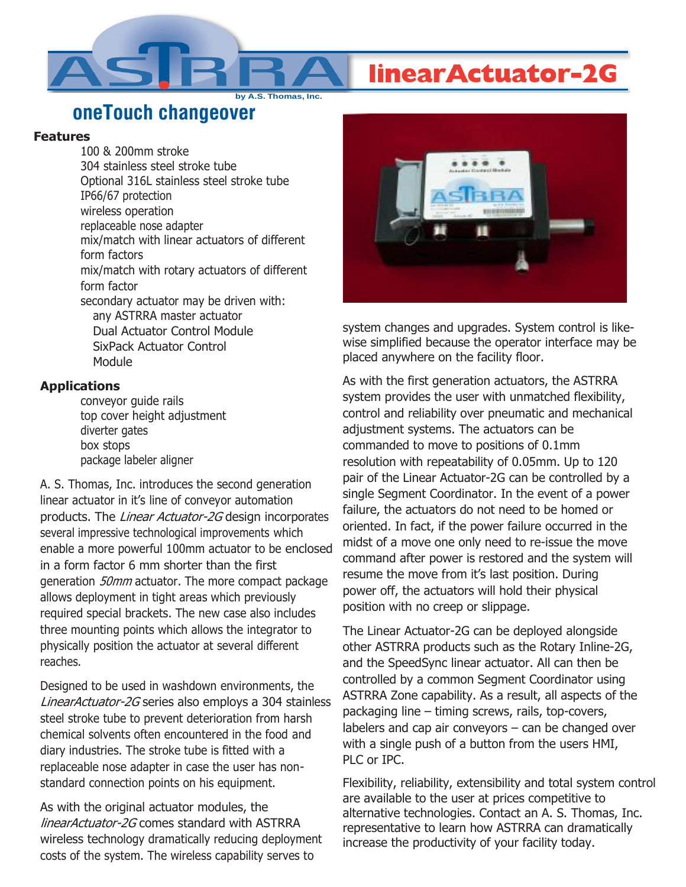## **linearActuator-2G**

**oneTouch changeover**

**by A.S. Thomas, Inc.**

## **Features**

100 & 200mm stroke 304 stainless steel stroke tube Optional 316L stainless steel stroke tube IP66/67 protection wireless operation replaceable nose adapter mix/match with linear actuators of different form factors mix/match with rotary actuators of different form factor secondary actuator may be driven with: any ASTRRA master actuator Dual Actuator Control Module SixPack Actuator Control Module

## **Applications**

conveyor guide rails top cover height adjustment diverter gates box stops package labeler aligner

A. S. Thomas, Inc. introduces the second generation linear actuator in it's line of conveyor automation products. The Linear Actuator-2G design incorporates several impressive technological improvements which enable a more powerful 100mm actuator to be enclosed in a form factor 6 mm shorter than the first generation 50mm actuator. The more compact package allows deployment in tight areas which previously required special brackets. The new case also includes three mounting points which allows the integrator to physically position the actuator at several different reaches.

Designed to be used in washdown environments, the LinearActuator-2G series also employs a 304 stainless steel stroke tube to prevent deterioration from harsh chemical solvents often encountered in the food and diary industries. The stroke tube is fitted with a replaceable nose adapter in case the user has nonstandard connection points on his equipment.

As with the original actuator modules, the linearActuator-2G comes standard with ASTRRA wireless technology dramatically reducing deployment costs of the system. The wireless capability serves to



system changes and upgrades. System control is likewise simplified because the operator interface may be placed anywhere on the facility floor.

As with the first generation actuators, the ASTRRA system provides the user with unmatched flexibility, control and reliability over pneumatic and mechanical adjustment systems. The actuators can be commanded to move to positions of 0.1mm resolution with repeatability of 0.05mm. Up to 120 pair of the Linear Actuator-2G can be controlled by a single Segment Coordinator. In the event of a power failure, the actuators do not need to be homed or oriented. In fact, if the power failure occurred in the midst of a move one only need to re-issue the move command after power is restored and the system will resume the move from it's last position. During power off, the actuators will hold their physical position with no creep or slippage.

The Linear Actuator-2G can be deployed alongside other ASTRRA products such as the Rotary Inline-2G, and the SpeedSync linear actuator. All can then be controlled by a common Segment Coordinator using ASTRRA Zone capability. As a result, all aspects of the packaging line – timing screws, rails, top-covers, labelers and cap air conveyors – can be changed over with a single push of a button from the users HMI, PLC or IPC.

Flexibility, reliability, extensibility and total system control are available to the user at prices competitive to alternative technologies. Contact an A. S. Thomas, Inc. representative to learn how ASTRRA can dramatically increase the productivity of your facility today.